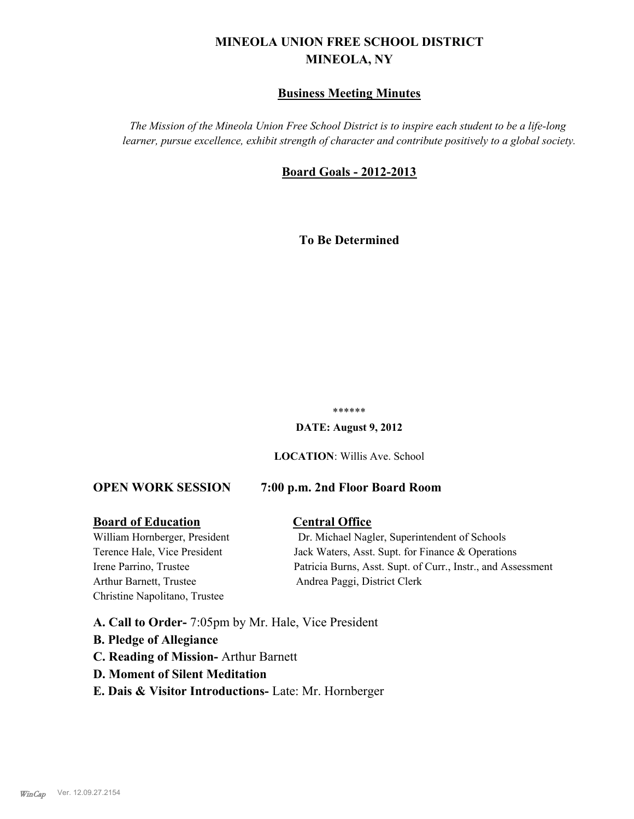# **MINEOLA UNION FREE SCHOOL DISTRICT MINEOLA, NY**

# **Business Meeting Minutes**

*The Mission of the Mineola Union Free School District is to inspire each student to be a life-long learner, pursue excellence, exhibit strength of character and contribute positively to a global society.*

# **Board Goals - 2012-2013**

**To Be Determined**

#### \*\*\*\*\*\*

**DATE: August 9, 2012**

**LOCATION**: Willis Ave. School

### **OPEN WORK SESSION 7:00 p.m. 2nd Floor Board Room**

#### **Board of Education Central Office**

Arthur Barnett, Trustee Andrea Paggi, District Clerk Christine Napolitano, Trustee

William Hornberger, President Dr. Michael Nagler, Superintendent of Schools Terence Hale, Vice President Jack Waters, Asst. Supt. for Finance & Operations Irene Parrino, Trustee Patricia Burns, Asst. Supt. of Curr., Instr., and Assessment

**A. Call to Order-** 7:05pm by Mr. Hale, Vice President

- **B. Pledge of Allegiance**
- **C. Reading of Mission-** Arthur Barnett
- **D. Moment of Silent Meditation**
- **E. Dais & Visitor Introductions-** Late: Mr. Hornberger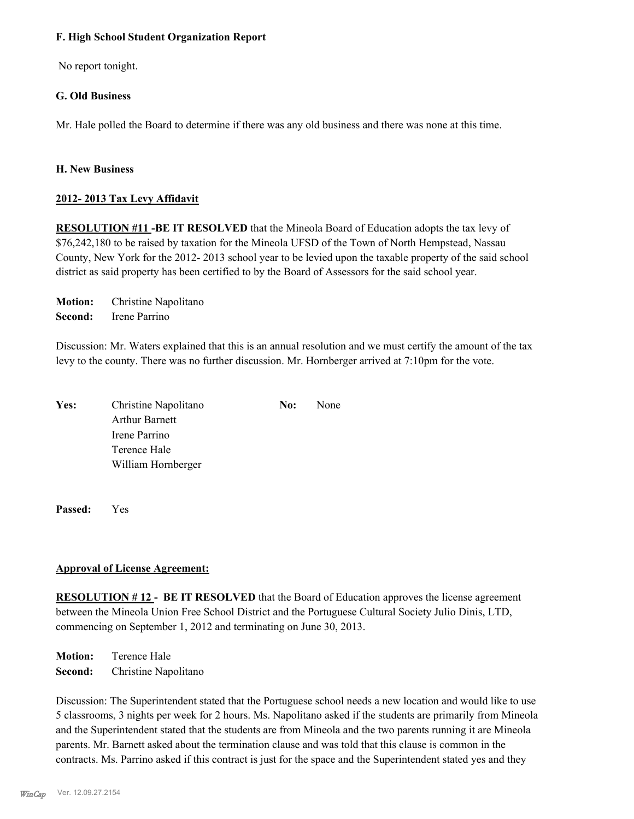#### **F. High School Student Organization Report**

No report tonight.

### **G. Old Business**

Mr. Hale polled the Board to determine if there was any old business and there was none at this time.

#### **H. New Business**

### **2012- 2013 Tax Levy Affidavit**

**RESOLUTION #11 -BE IT RESOLVED** that the Mineola Board of Education adopts the tax levy of \$76,242,180 to be raised by taxation for the Mineola UFSD of the Town of North Hempstead, Nassau County, New York for the 2012- 2013 school year to be levied upon the taxable property of the said school district as said property has been certified to by the Board of Assessors for the said school year.

**Motion:** Christine Napolitano **Second:** Irene Parrino

Discussion: Mr. Waters explained that this is an annual resolution and we must certify the amount of the tax levy to the county. There was no further discussion. Mr. Hornberger arrived at 7:10pm for the vote.

| Yes: | Christine Napolitano  | No: | None |
|------|-----------------------|-----|------|
|      | <b>Arthur Barnett</b> |     |      |
|      | Irene Parrino         |     |      |
|      | Terence Hale          |     |      |
|      | William Hornberger    |     |      |

**Passed:** Yes

### **Approval of License Agreement:**

**RESOLUTION # 12 - BE IT RESOLVED** that the Board of Education approves the license agreement between the Mineola Union Free School District and the Portuguese Cultural Society Julio Dinis, LTD, commencing on September 1, 2012 and terminating on June 30, 2013.

**Motion:** Terence Hale **Second:** Christine Napolitano

Discussion: The Superintendent stated that the Portuguese school needs a new location and would like to use 5 classrooms, 3 nights per week for 2 hours. Ms. Napolitano asked if the students are primarily from Mineola and the Superintendent stated that the students are from Mineola and the two parents running it are Mineola parents. Mr. Barnett asked about the termination clause and was told that this clause is common in the contracts. Ms. Parrino asked if this contract is just for the space and the Superintendent stated yes and they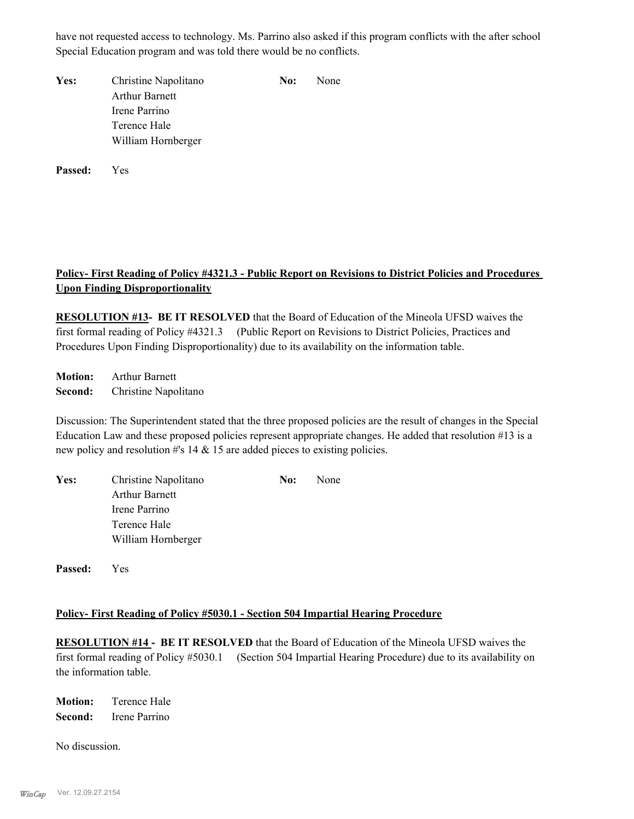have not requested access to technology. Ms. Parrino also asked if this program conflicts with the after school Special Education program and was told there would be no conflicts.

| Yes: | Christine Napolitano  | No: | <b>None</b> |
|------|-----------------------|-----|-------------|
|      | <b>Arthur Barnett</b> |     |             |
|      | Irene Parrino         |     |             |
|      | Terence Hale          |     |             |
|      | William Hornberger    |     |             |

**Passed:** Yes

# **Policy- First Reading of Policy #4321.3 - Public Report on Revisions to District Policies and Procedures Upon Finding Disproportionality**

**RESOLUTION #13- BE IT RESOLVED** that the Board of Education of the Mineola UFSD waives the first formal reading of Policy #4321.3 (Public Report on Revisions to District Policies, Practices and Procedures Upon Finding Disproportionality) due to its availability on the information table.

**Motion:** Arthur Barnett **Second:** Christine Napolitano

Discussion: The Superintendent stated that the three proposed policies are the result of changes in the Special Education Law and these proposed policies represent appropriate changes. He added that resolution #13 is a new policy and resolution #'s 14 & 15 are added pieces to existing policies.

| Yes: | Christine Napolitano  | No: | None |
|------|-----------------------|-----|------|
|      | <b>Arthur Barnett</b> |     |      |
|      | Irene Parrino         |     |      |
|      | Terence Hale          |     |      |
|      | William Hornberger    |     |      |

**Passed:** Yes

### **Policy- First Reading of Policy #5030.1 - Section 504 Impartial Hearing Procedure**

**RESOLUTION #14 - BE IT RESOLVED** that the Board of Education of the Mineola UFSD waives the first formal reading of Policy #5030.1 (Section 504 Impartial Hearing Procedure) due to its availability on the information table.

**Motion:** Terence Hale **Second:** Irene Parrino

No discussion.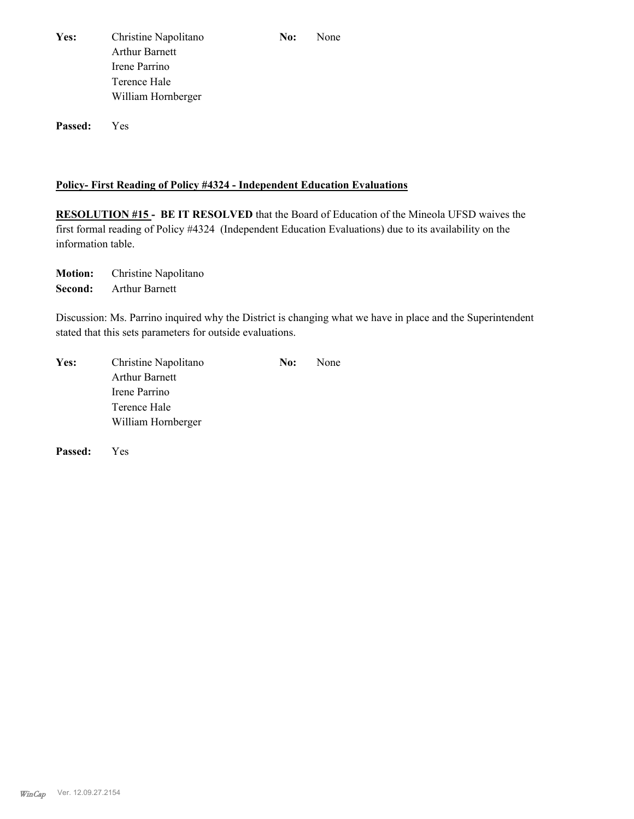| <b>Yes:</b> | Christine Napolitano  | No: | None |
|-------------|-----------------------|-----|------|
|             | <b>Arthur Barnett</b> |     |      |
|             | Irene Parrino         |     |      |
|             | Terence Hale          |     |      |
|             | William Hornberger    |     |      |
|             |                       |     |      |

**Passed:** Yes

#### **Policy- First Reading of Policy #4324 - Independent Education Evaluations**

**RESOLUTION #15 - BE IT RESOLVED** that the Board of Education of the Mineola UFSD waives the first formal reading of Policy #4324 (Independent Education Evaluations) due to its availability on the information table.

**Motion:** Christine Napolitano **Second:** Arthur Barnett

Discussion: Ms. Parrino inquired why the District is changing what we have in place and the Superintendent stated that this sets parameters for outside evaluations.

| Yes: | Christine Napolitano  | No: | None |
|------|-----------------------|-----|------|
|      | <b>Arthur Barnett</b> |     |      |
|      | Irene Parrino         |     |      |
|      | Terence Hale          |     |      |
|      | William Hornberger    |     |      |

**Passed:** Yes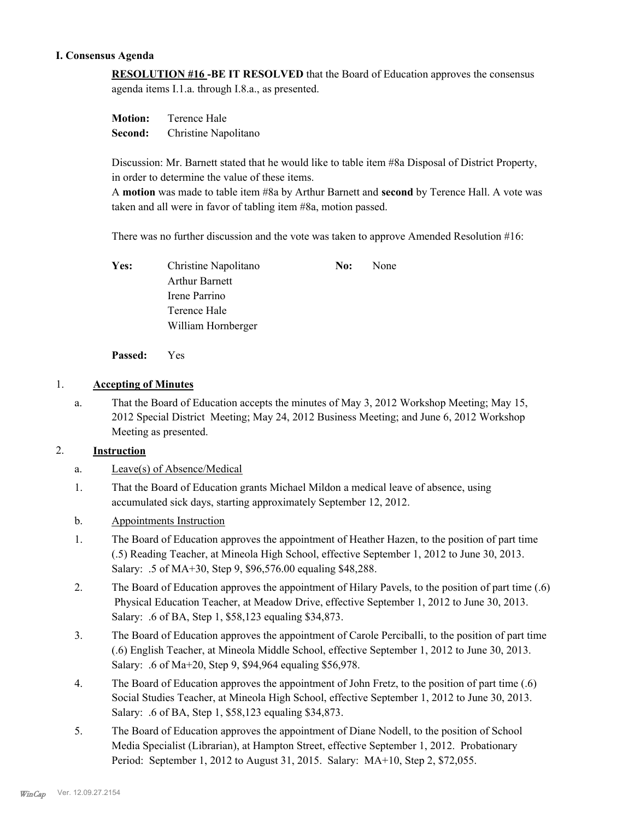#### **I. Consensus Agenda**

**RESOLUTION #16 -BE IT RESOLVED** that the Board of Education approves the consensus agenda items I.1.a. through I.8.a., as presented.

**Motion:** Terence Hale **Second:** Christine Napolitano

Discussion: Mr. Barnett stated that he would like to table item #8a Disposal of District Property, in order to determine the value of these items.

A **motion** was made to table item #8a by Arthur Barnett and **second** by Terence Hall. A vote was taken and all were in favor of tabling item #8a, motion passed.

There was no further discussion and the vote was taken to approve Amended Resolution #16:

| Yes: | Christine Napolitano  | No: | None |
|------|-----------------------|-----|------|
|      | <b>Arthur Barnett</b> |     |      |
|      | Irene Parrino         |     |      |
|      | Terence Hale          |     |      |
|      | William Hornberger    |     |      |

**Passed:** Yes

### 1. **Accepting of Minutes**

That the Board of Education accepts the minutes of May 3, 2012 Workshop Meeting; May 15, 2012 Special District Meeting; May 24, 2012 Business Meeting; and June 6, 2012 Workshop Meeting as presented. a.

### 2. **Instruction**

- a. Leave(s) of Absence/Medical
- That the Board of Education grants Michael Mildon a medical leave of absence, using accumulated sick days, starting approximately September 12, 2012. 1.
- b. Appointments Instruction
- The Board of Education approves the appointment of Heather Hazen, to the position of part time (.5) Reading Teacher, at Mineola High School, effective September 1, 2012 to June 30, 2013. Salary: .5 of MA+30, Step 9, \$96,576.00 equaling \$48,288. 1.
- The Board of Education approves the appointment of Hilary Pavels, to the position of part time (.6) Physical Education Teacher, at Meadow Drive, effective September 1, 2012 to June 30, 2013. Salary: .6 of BA, Step 1, \$58,123 equaling \$34,873. 2.
- The Board of Education approves the appointment of Carole Perciballi, to the position of part time (.6) English Teacher, at Mineola Middle School, effective September 1, 2012 to June 30, 2013. Salary: .6 of Ma+20, Step 9, \$94,964 equaling \$56,978. 3.
- The Board of Education approves the appointment of John Fretz, to the position of part time (.6) Social Studies Teacher, at Mineola High School, effective September 1, 2012 to June 30, 2013. Salary: .6 of BA, Step 1, \$58,123 equaling \$34,873. 4.
- The Board of Education approves the appointment of Diane Nodell, to the position of School Media Specialist (Librarian), at Hampton Street, effective September 1, 2012. Probationary Period: September 1, 2012 to August 31, 2015. Salary: MA+10, Step 2, \$72,055. 5.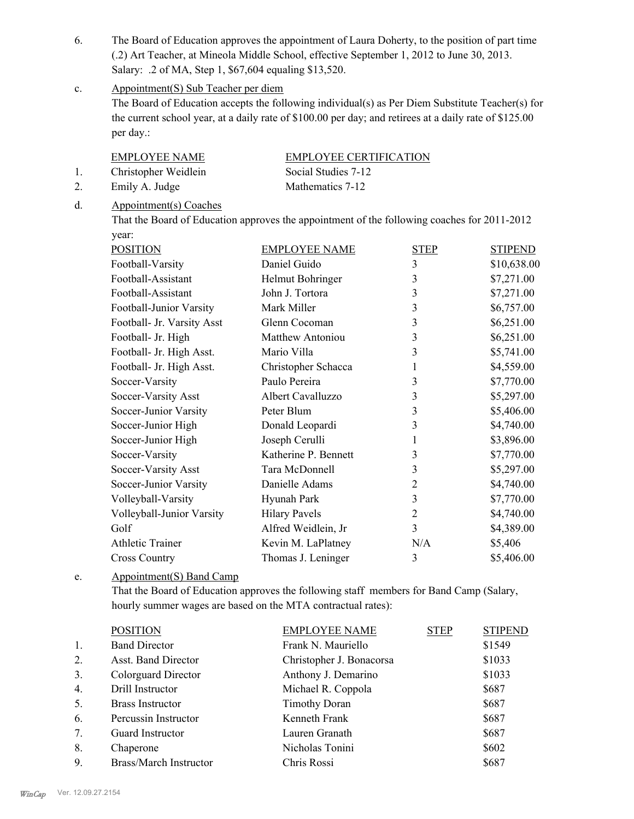- The Board of Education approves the appointment of Laura Doherty, to the position of part time (.2) Art Teacher, at Mineola Middle School, effective September 1, 2012 to June 30, 2013. Salary: .2 of MA, Step 1, \$67,604 equaling \$13,520. 6.
- Appointment(S) Sub Teacher per diem c.

The Board of Education accepts the following individual(s) as Per Diem Substitute Teacher(s) for the current school year, at a daily rate of \$100.00 per day; and retirees at a daily rate of \$125.00 per day.:

EMPLOYEE NAME EMPLOYEE CERTIFICATION

1. Christopher Weidlein Social Studies 7-12

2. Emily A. Judge Mathematics 7-12

Appointment(s) Coaches d.

> That the Board of Education approves the appointment of the following coaches for 2011-2012 year:

| <b>POSITION</b>            | <b>EMPLOYEE NAME</b>    | <b>STEP</b>    | <b>STIPEND</b> |
|----------------------------|-------------------------|----------------|----------------|
| Football-Varsity           | Daniel Guido            | $\overline{3}$ | \$10,638.00    |
| Football-Assistant         | Helmut Bohringer        | 3              | \$7,271.00     |
| Football-Assistant         | John J. Tortora         | 3              | \$7,271.00     |
| Football-Junior Varsity    | Mark Miller             | 3              | \$6,757.00     |
| Football- Jr. Varsity Asst | Glenn Cocoman           | 3              | \$6,251.00     |
| Football- Jr. High         | <b>Matthew Antoniou</b> | 3              | \$6,251.00     |
| Football- Jr. High Asst.   | Mario Villa             | 3              | \$5,741.00     |
| Football- Jr. High Asst.   | Christopher Schacca     | 1              | \$4,559.00     |
| Soccer-Varsity             | Paulo Pereira           | 3              | \$7,770.00     |
| Soccer-Varsity Asst        | Albert Cavalluzzo       | 3              | \$5,297.00     |
| Soccer-Junior Varsity      | Peter Blum              | 3              | \$5,406.00     |
| Soccer-Junior High         | Donald Leopardi         | 3              | \$4,740.00     |
| Soccer-Junior High         | Joseph Cerulli          | 1              | \$3,896.00     |
| Soccer-Varsity             | Katherine P. Bennett    | 3              | \$7,770.00     |
| Soccer-Varsity Asst        | Tara McDonnell          | 3              | \$5,297.00     |
| Soccer-Junior Varsity      | Danielle Adams          | $\overline{2}$ | \$4,740.00     |
| Volleyball-Varsity         | Hyunah Park             | 3              | \$7,770.00     |
| Volleyball-Junior Varsity  | <b>Hilary Pavels</b>    | $\overline{2}$ | \$4,740.00     |
| Golf                       | Alfred Weidlein, Jr     | 3              | \$4,389.00     |
| <b>Athletic Trainer</b>    | Kevin M. LaPlatney      | N/A            | \$5,406        |
| <b>Cross Country</b>       | Thomas J. Leninger      | 3              | \$5,406.00     |

Appointment(S) Band Camp e.

> That the Board of Education approves the following staff members for Band Camp (Salary, hourly summer wages are based on the MTA contractual rates):

| \$1549<br>\$1033 |
|------------------|
|                  |
|                  |
| \$1033           |
| \$687            |
| \$687            |
| \$687            |
| \$687            |
| \$602            |
| \$687            |
|                  |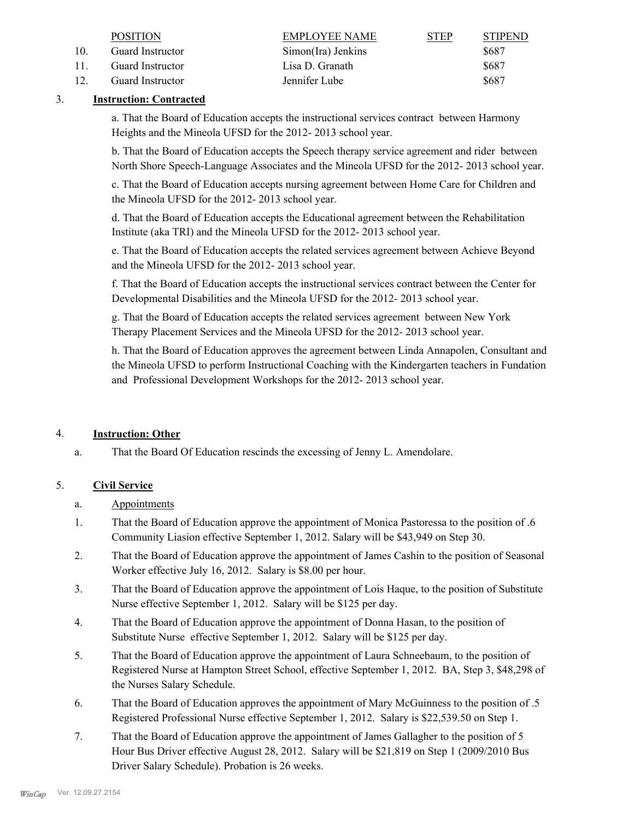|                 | <b>POSITION</b>  | EMPLOYEE NAME      | <b>STEP</b> | <b>STIPEND</b> |
|-----------------|------------------|--------------------|-------------|----------------|
|                 | Guard Instructor | Simon(Ira) Jenkins |             | \$687          |
| $\overline{11}$ | Guard Instructor | Lisa D. Granath    |             | \$687          |
|                 | Guard Instructor | Jennifer Lube      |             | \$687          |

### 3. **Instruction: Contracted**

a. That the Board of Education accepts the instructional services contract between Harmony Heights and the Mineola UFSD for the 2012- 2013 school year.

b. That the Board of Education accepts the Speech therapy service agreement and rider between North Shore Speech-Language Associates and the Mineola UFSD for the 2012- 2013 school year.

c. That the Board of Education accepts nursing agreement between Home Care for Children and the Mineola UFSD for the 2012- 2013 school year.

d. That the Board of Education accepts the Educational agreement between the Rehabilitation Institute (aka TRI) and the Mineola UFSD for the 2012- 2013 school year.

e. That the Board of Education accepts the related services agreement between Achieve Beyond and the Mineola UFSD for the 2012- 2013 school year.

f. That the Board of Education accepts the instructional services contract between the Center for Developmental Disabilities and the Mineola UFSD for the 2012- 2013 school year.

g. That the Board of Education accepts the related services agreement between New York Therapy Placement Services and the Mineola UFSD for the 2012- 2013 school year.

h. That the Board of Education approves the agreement between Linda Annapolen, Consultant and the Mineola UFSD to perform Instructional Coaching with the Kindergarten teachers in Fundation and Professional Development Workshops for the 2012- 2013 school year.

### 4. **Instruction: Other**

a. That the Board Of Education rescinds the excessing of Jenny L. Amendolare.

# 5. **Civil Service**

- a. Appointments
- That the Board of Education approve the appointment of Monica Pastoressa to the position of .6 Community Liasion effective September 1, 2012. Salary will be \$43,949 on Step 30. 1.
- That the Board of Education approve the appointment of James Cashin to the position of Seasonal Worker effective July 16, 2012. Salary is \$8.00 per hour. 2.
- That the Board of Education approve the appointment of Lois Haque, to the position of Substitute Nurse effective September 1, 2012. Salary will be \$125 per day. 3.
- That the Board of Education approve the appointment of Donna Hasan, to the position of Substitute Nurse effective September 1, 2012. Salary will be \$125 per day. 4.
- That the Board of Education approve the appointment of Laura Schneebaum, to the position of Registered Nurse at Hampton Street School, effective September 1, 2012. BA, Step 3, \$48,298 of the Nurses Salary Schedule. 5.
- That the Board of Education approves the appointment of Mary McGuinness to the position of .5 Registered Professional Nurse effective September 1, 2012. Salary is \$22,539.50 on Step 1. 6.
- That the Board of Education approve the appointment of James Gallagher to the position of 5 Hour Bus Driver effective August 28, 2012. Salary will be \$21,819 on Step 1 (2009/2010 Bus Driver Salary Schedule). Probation is 26 weeks. 7.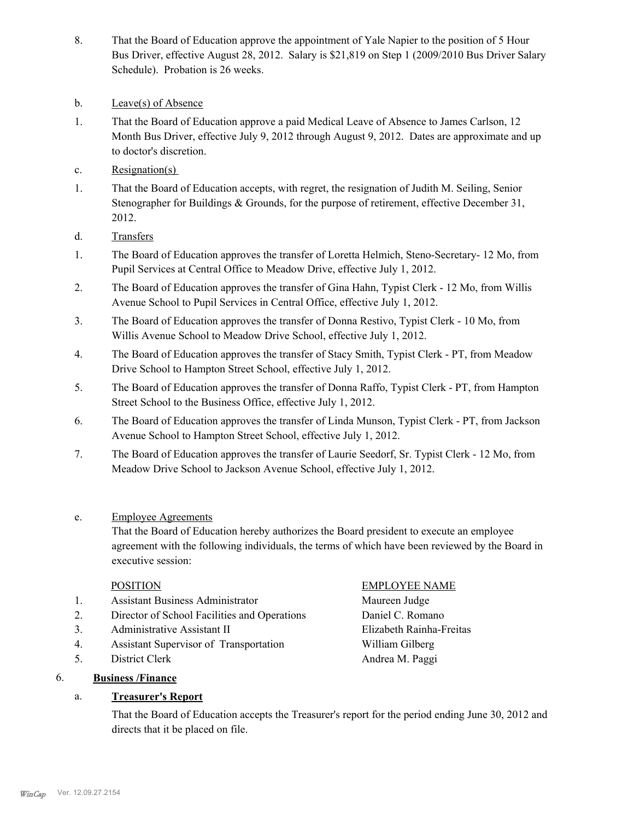- That the Board of Education approve the appointment of Yale Napier to the position of 5 Hour Bus Driver, effective August 28, 2012. Salary is \$21,819 on Step 1 (2009/2010 Bus Driver Salary Schedule). Probation is 26 weeks. 8.
- b. Leave(s) of Absence
- That the Board of Education approve a paid Medical Leave of Absence to James Carlson, 12 Month Bus Driver, effective July 9, 2012 through August 9, 2012. Dates are approximate and up to doctor's discretion. 1.
- c. Resignation(s)
- That the Board of Education accepts, with regret, the resignation of Judith M. Seiling, Senior Stenographer for Buildings & Grounds, for the purpose of retirement, effective December 31, 2012. 1.
- d. Transfers
- The Board of Education approves the transfer of Loretta Helmich, Steno-Secretary- 12 Mo, from Pupil Services at Central Office to Meadow Drive, effective July 1, 2012. 1.
- The Board of Education approves the transfer of Gina Hahn, Typist Clerk 12 Mo, from Willis Avenue School to Pupil Services in Central Office, effective July 1, 2012. 2.
- The Board of Education approves the transfer of Donna Restivo, Typist Clerk 10 Mo, from Willis Avenue School to Meadow Drive School, effective July 1, 2012. 3.
- The Board of Education approves the transfer of Stacy Smith, Typist Clerk PT, from Meadow Drive School to Hampton Street School, effective July 1, 2012. 4.
- The Board of Education approves the transfer of Donna Raffo, Typist Clerk PT, from Hampton Street School to the Business Office, effective July 1, 2012. 5.
- The Board of Education approves the transfer of Linda Munson, Typist Clerk PT, from Jackson Avenue School to Hampton Street School, effective July 1, 2012. 6.
- The Board of Education approves the transfer of Laurie Seedorf, Sr. Typist Clerk 12 Mo, from Meadow Drive School to Jackson Avenue School, effective July 1, 2012. 7.
- Employee Agreements e.

That the Board of Education hereby authorizes the Board president to execute an employee agreement with the following individuals, the terms of which have been reviewed by the Board in executive session:

- 1. Assistant Business Administrator Maureen Judge
- 2. Director of School Facilities and Operations Daniel C. Romano
- 3. Administrative Assistant II Elizabeth Rainha-Freitas
- 4. Assistant Supervisor of Transportation William Gilberg
- 5. District Clerk Andrea M. Paggi

# 6. **Business /Finance**

# a. **Treasurer's Report**

# POSITION EMPLOYEE NAME

That the Board of Education accepts the Treasurer's report for the period ending June 30, 2012 and directs that it be placed on file.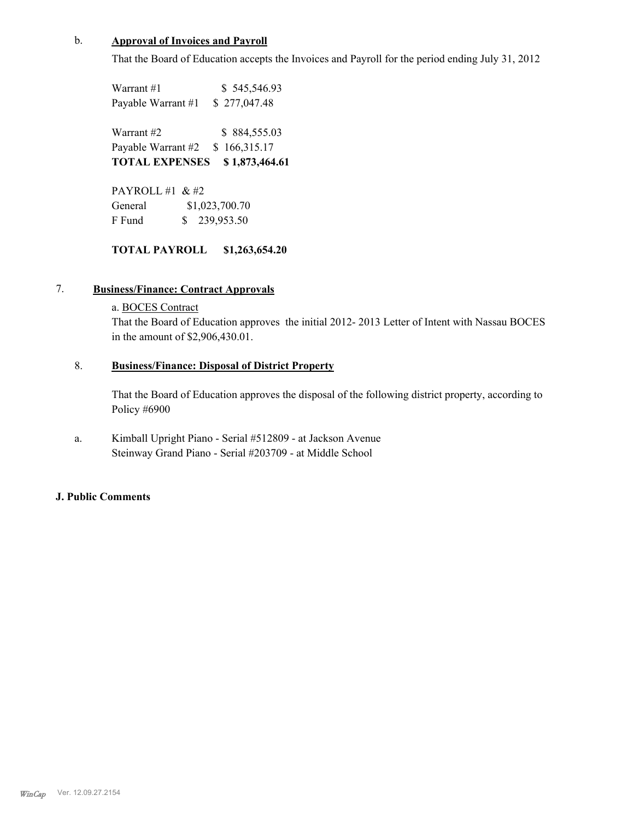#### b. **Approval of Invoices and Payroll**

That the Board of Education accepts the Invoices and Payroll for the period ending July 31, 2012

Warrant #1 \$ 545,546.93 Payable Warrant #1 \$ 277,047.48

Warrant #2 \$ 884,555.03 Payable Warrant #2 \$ 166,315.17 **TOTAL EXPENSES \$ 1,873,464.61**

PAYROLL  $\#1 \& \#2$ General  $$1,023,700.70$ F Fund \$ 239,953.50

### **TOTAL PAYROLL \$1,263,654.20**

### 7. **Business/Finance: Contract Approvals**

## a. BOCES Contract

That the Board of Education approves the initial 2012- 2013 Letter of Intent with Nassau BOCES in the amount of \$2,906,430.01.

#### **Business/Finance: Disposal of District Property** 8.

That the Board of Education approves the disposal of the following district property, according to Policy #6900

Kimball Upright Piano - Serial #512809 - at Jackson Avenue Steinway Grand Piano - Serial #203709 - at Middle School a.

#### **J. Public Comments**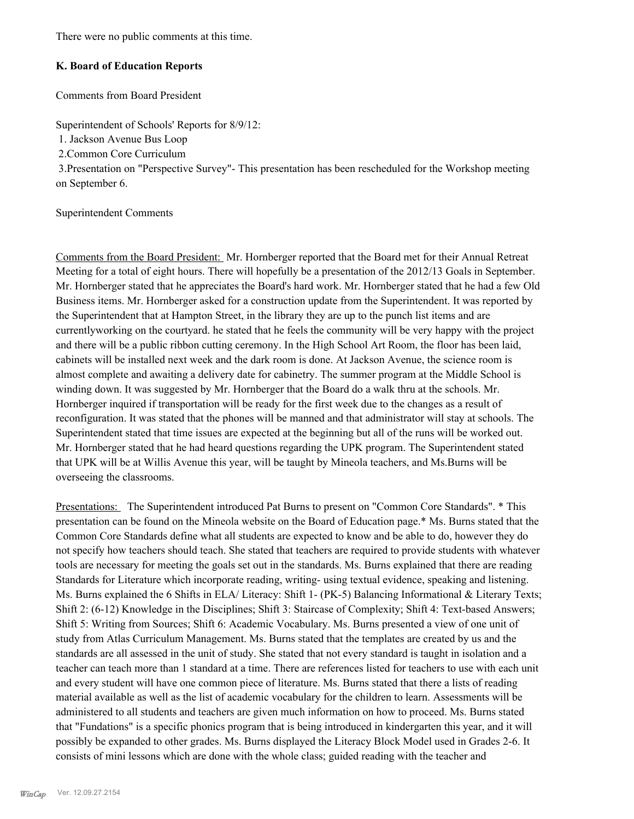There were no public comments at this time.

### **K. Board of Education Reports**

Comments from Board President

Superintendent of Schools' Reports for 8/9/12:

1. Jackson Avenue Bus Loop

2.Common Core Curriculum

 3.Presentation on "Perspective Survey"- This presentation has been rescheduled for the Workshop meeting on September 6.

#### Superintendent Comments

Comments from the Board President: Mr. Hornberger reported that the Board met for their Annual Retreat Meeting for a total of eight hours. There will hopefully be a presentation of the 2012/13 Goals in September. Mr. Hornberger stated that he appreciates the Board's hard work. Mr. Hornberger stated that he had a few Old Business items. Mr. Hornberger asked for a construction update from the Superintendent. It was reported by the Superintendent that at Hampton Street, in the library they are up to the punch list items and are currentlyworking on the courtyard. he stated that he feels the community will be very happy with the project and there will be a public ribbon cutting ceremony. In the High School Art Room, the floor has been laid, cabinets will be installed next week and the dark room is done. At Jackson Avenue, the science room is almost complete and awaiting a delivery date for cabinetry. The summer program at the Middle School is winding down. It was suggested by Mr. Hornberger that the Board do a walk thru at the schools. Mr. Hornberger inquired if transportation will be ready for the first week due to the changes as a result of reconfiguration. It was stated that the phones will be manned and that administrator will stay at schools. The Superintendent stated that time issues are expected at the beginning but all of the runs will be worked out. Mr. Hornberger stated that he had heard questions regarding the UPK program. The Superintendent stated that UPK will be at Willis Avenue this year, will be taught by Mineola teachers, and Ms.Burns will be overseeing the classrooms.

Presentations: The Superintendent introduced Pat Burns to present on "Common Core Standards". \* This presentation can be found on the Mineola website on the Board of Education page.\* Ms. Burns stated that the Common Core Standards define what all students are expected to know and be able to do, however they do not specify how teachers should teach. She stated that teachers are required to provide students with whatever tools are necessary for meeting the goals set out in the standards. Ms. Burns explained that there are reading Standards for Literature which incorporate reading, writing- using textual evidence, speaking and listening. Ms. Burns explained the 6 Shifts in ELA/ Literacy: Shift 1- (PK-5) Balancing Informational & Literary Texts; Shift 2: (6-12) Knowledge in the Disciplines; Shift 3: Staircase of Complexity; Shift 4: Text-based Answers; Shift 5: Writing from Sources; Shift 6: Academic Vocabulary. Ms. Burns presented a view of one unit of study from Atlas Curriculum Management. Ms. Burns stated that the templates are created by us and the standards are all assessed in the unit of study. She stated that not every standard is taught in isolation and a teacher can teach more than 1 standard at a time. There are references listed for teachers to use with each unit and every student will have one common piece of literature. Ms. Burns stated that there a lists of reading material available as well as the list of academic vocabulary for the children to learn. Assessments will be administered to all students and teachers are given much information on how to proceed. Ms. Burns stated that "Fundations" is a specific phonics program that is being introduced in kindergarten this year, and it will possibly be expanded to other grades. Ms. Burns displayed the Literacy Block Model used in Grades 2-6. It consists of mini lessons which are done with the whole class; guided reading with the teacher and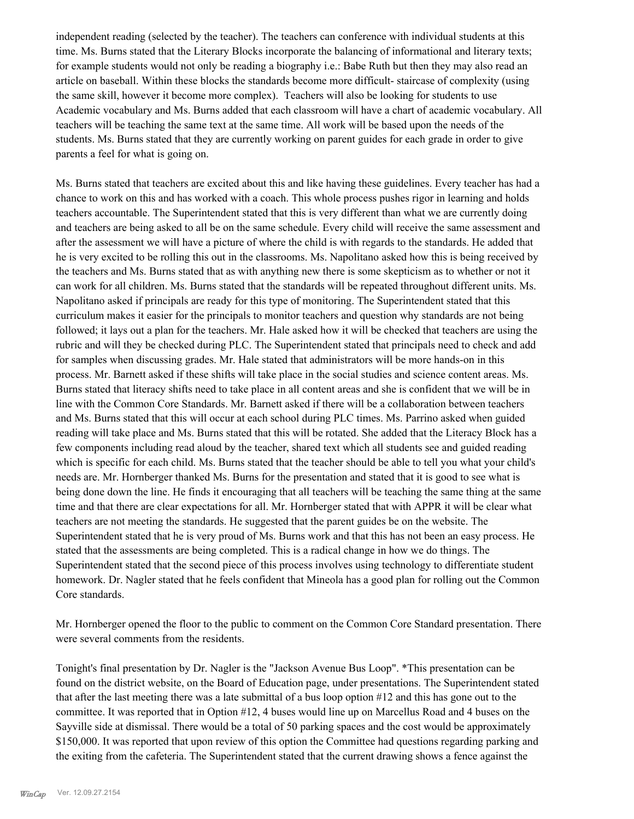independent reading (selected by the teacher). The teachers can conference with individual students at this time. Ms. Burns stated that the Literary Blocks incorporate the balancing of informational and literary texts; for example students would not only be reading a biography i.e.: Babe Ruth but then they may also read an article on baseball. Within these blocks the standards become more difficult- staircase of complexity (using the same skill, however it become more complex). Teachers will also be looking for students to use Academic vocabulary and Ms. Burns added that each classroom will have a chart of academic vocabulary. All teachers will be teaching the same text at the same time. All work will be based upon the needs of the students. Ms. Burns stated that they are currently working on parent guides for each grade in order to give parents a feel for what is going on.

Ms. Burns stated that teachers are excited about this and like having these guidelines. Every teacher has had a chance to work on this and has worked with a coach. This whole process pushes rigor in learning and holds teachers accountable. The Superintendent stated that this is very different than what we are currently doing and teachers are being asked to all be on the same schedule. Every child will receive the same assessment and after the assessment we will have a picture of where the child is with regards to the standards. He added that he is very excited to be rolling this out in the classrooms. Ms. Napolitano asked how this is being received by the teachers and Ms. Burns stated that as with anything new there is some skepticism as to whether or not it can work for all children. Ms. Burns stated that the standards will be repeated throughout different units. Ms. Napolitano asked if principals are ready for this type of monitoring. The Superintendent stated that this curriculum makes it easier for the principals to monitor teachers and question why standards are not being followed; it lays out a plan for the teachers. Mr. Hale asked how it will be checked that teachers are using the rubric and will they be checked during PLC. The Superintendent stated that principals need to check and add for samples when discussing grades. Mr. Hale stated that administrators will be more hands-on in this process. Mr. Barnett asked if these shifts will take place in the social studies and science content areas. Ms. Burns stated that literacy shifts need to take place in all content areas and she is confident that we will be in line with the Common Core Standards. Mr. Barnett asked if there will be a collaboration between teachers and Ms. Burns stated that this will occur at each school during PLC times. Ms. Parrino asked when guided reading will take place and Ms. Burns stated that this will be rotated. She added that the Literacy Block has a few components including read aloud by the teacher, shared text which all students see and guided reading which is specific for each child. Ms. Burns stated that the teacher should be able to tell you what your child's needs are. Mr. Hornberger thanked Ms. Burns for the presentation and stated that it is good to see what is being done down the line. He finds it encouraging that all teachers will be teaching the same thing at the same time and that there are clear expectations for all. Mr. Hornberger stated that with APPR it will be clear what teachers are not meeting the standards. He suggested that the parent guides be on the website. The Superintendent stated that he is very proud of Ms. Burns work and that this has not been an easy process. He stated that the assessments are being completed. This is a radical change in how we do things. The Superintendent stated that the second piece of this process involves using technology to differentiate student homework. Dr. Nagler stated that he feels confident that Mineola has a good plan for rolling out the Common Core standards.

Mr. Hornberger opened the floor to the public to comment on the Common Core Standard presentation. There were several comments from the residents.

Tonight's final presentation by Dr. Nagler is the "Jackson Avenue Bus Loop". \*This presentation can be found on the district website, on the Board of Education page, under presentations. The Superintendent stated that after the last meeting there was a late submittal of a bus loop option #12 and this has gone out to the committee. It was reported that in Option #12, 4 buses would line up on Marcellus Road and 4 buses on the Sayville side at dismissal. There would be a total of 50 parking spaces and the cost would be approximately \$150,000. It was reported that upon review of this option the Committee had questions regarding parking and the exiting from the cafeteria. The Superintendent stated that the current drawing shows a fence against the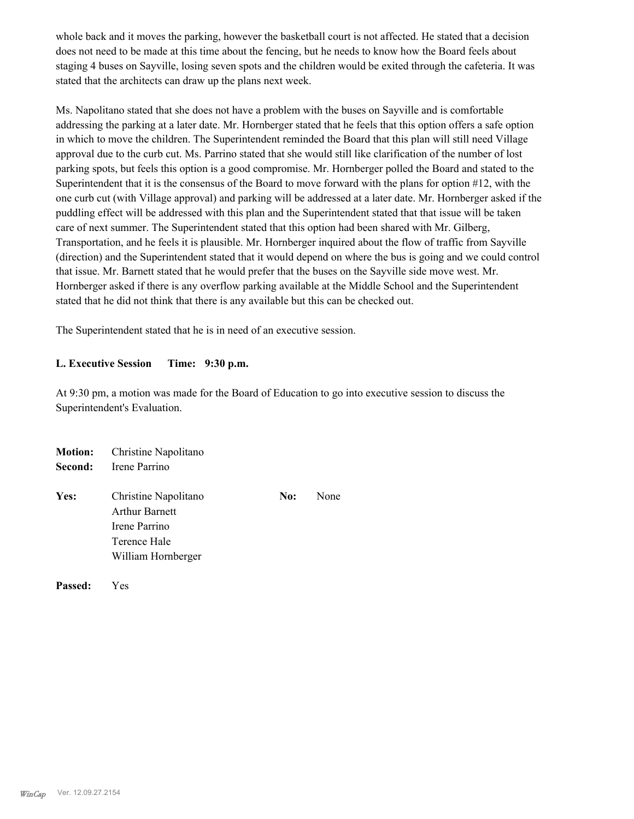whole back and it moves the parking, however the basketball court is not affected. He stated that a decision does not need to be made at this time about the fencing, but he needs to know how the Board feels about staging 4 buses on Sayville, losing seven spots and the children would be exited through the cafeteria. It was stated that the architects can draw up the plans next week.

Ms. Napolitano stated that she does not have a problem with the buses on Sayville and is comfortable addressing the parking at a later date. Mr. Hornberger stated that he feels that this option offers a safe option in which to move the children. The Superintendent reminded the Board that this plan will still need Village approval due to the curb cut. Ms. Parrino stated that she would still like clarification of the number of lost parking spots, but feels this option is a good compromise. Mr. Hornberger polled the Board and stated to the Superintendent that it is the consensus of the Board to move forward with the plans for option #12, with the one curb cut (with Village approval) and parking will be addressed at a later date. Mr. Hornberger asked if the puddling effect will be addressed with this plan and the Superintendent stated that that issue will be taken care of next summer. The Superintendent stated that this option had been shared with Mr. Gilberg, Transportation, and he feels it is plausible. Mr. Hornberger inquired about the flow of traffic from Sayville (direction) and the Superintendent stated that it would depend on where the bus is going and we could control that issue. Mr. Barnett stated that he would prefer that the buses on the Sayville side move west. Mr. Hornberger asked if there is any overflow parking available at the Middle School and the Superintendent stated that he did not think that there is any available but this can be checked out.

The Superintendent stated that he is in need of an executive session.

### **L. Executive Session Time: 9:30 p.m.**

At 9:30 pm, a motion was made for the Board of Education to go into executive session to discuss the Superintendent's Evaluation.

| <b>Motion:</b><br>Second: | Christine Napolitano<br>Irene Parrino                                                                |     |      |
|---------------------------|------------------------------------------------------------------------------------------------------|-----|------|
| Yes:                      | Christine Napolitano<br><b>Arthur Barnett</b><br>Irene Parrino<br>Terence Hale<br>William Hornberger | No: | None |

**Passed:** Yes